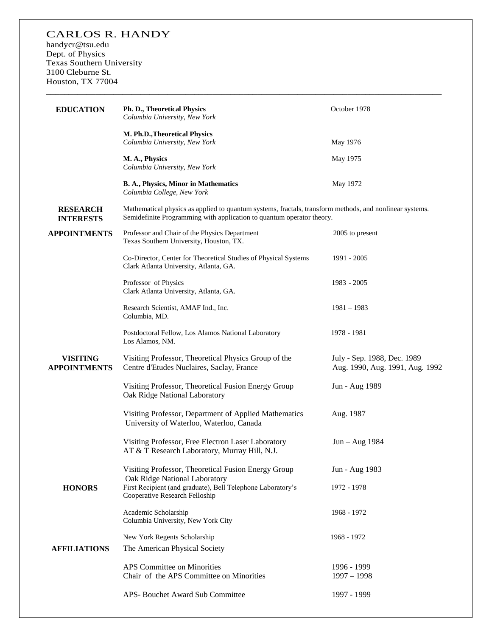## CARLOS R. HANDY

handycr@tsu.edu Dept. of Physics Texas Southern University 3100 Cleburne St. Houston, TX 77004

| <b>EDUCATION</b>                       | Ph. D., Theoretical Physics<br>Columbia University, New York                                                                                                                     | October 1978                                                   |
|----------------------------------------|----------------------------------------------------------------------------------------------------------------------------------------------------------------------------------|----------------------------------------------------------------|
|                                        | M. Ph.D., Theoretical Physics<br>Columbia University, New York                                                                                                                   | May 1976                                                       |
|                                        | M. A., Physics<br>Columbia University, New York                                                                                                                                  | May 1975                                                       |
|                                        | B. A., Physics, Minor in Mathematics<br>Columbia College, New York                                                                                                               | May 1972                                                       |
| <b>RESEARCH</b><br><b>INTERESTS</b>    | Mathematical physics as applied to quantum systems, fractals, transform methods, and nonlinear systems.<br>Semidefinite Programming with application to quantum operator theory. |                                                                |
| <b>APPOINTMENTS</b>                    | Professor and Chair of the Physics Department<br>Texas Southern University, Houston, TX.                                                                                         | 2005 to present                                                |
|                                        | Co-Director, Center for Theoretical Studies of Physical Systems<br>Clark Atlanta University, Atlanta, GA.                                                                        | 1991 - 2005                                                    |
|                                        | Professor of Physics<br>Clark Atlanta University, Atlanta, GA.                                                                                                                   | 1983 - 2005                                                    |
|                                        | Research Scientist, AMAF Ind., Inc.<br>Columbia, MD.                                                                                                                             | $1981 - 1983$                                                  |
|                                        | Postdoctoral Fellow, Los Alamos National Laboratory<br>Los Alamos, NM.                                                                                                           | 1978 - 1981                                                    |
| <b>VISITING</b><br><b>APPOINTMENTS</b> | Visiting Professor, Theoretical Physics Group of the<br>Centre d'Etudes Nuclaires, Saclay, France                                                                                | July - Sep. 1988, Dec. 1989<br>Aug. 1990, Aug. 1991, Aug. 1992 |
|                                        | Visiting Professor, Theoretical Fusion Energy Group<br>Oak Ridge National Laboratory                                                                                             | Jun - Aug 1989                                                 |
|                                        | Visiting Professor, Department of Applied Mathematics<br>University of Waterloo, Waterloo, Canada                                                                                | Aug. 1987                                                      |
|                                        | Visiting Professor, Free Electron Laser Laboratory<br>AT & T Research Laboratory, Murray Hill, N.J.                                                                              | Jun - Aug 1984                                                 |
|                                        | Visiting Professor, Theoretical Fusion Energy Group                                                                                                                              | Jun - Aug 1983                                                 |
| <b>HONORS</b>                          | Oak Ridge National Laboratory<br>First Recipient (and graduate), Bell Telephone Laboratory's<br>Cooperative Research Felloship                                                   | 1972 - 1978                                                    |
|                                        | Academic Scholarship<br>Columbia University, New York City                                                                                                                       | 1968 - 1972                                                    |
|                                        | New York Regents Scholarship                                                                                                                                                     | 1968 - 1972                                                    |
| <b>AFFILIATIONS</b>                    | The American Physical Society                                                                                                                                                    |                                                                |
|                                        | APS Committee on Minorities<br>Chair of the APS Committee on Minorities                                                                                                          | 1996 - 1999<br>$1997 - 1998$                                   |
|                                        | APS- Bouchet Award Sub Committee                                                                                                                                                 | 1997 - 1999                                                    |

**\_\_\_\_\_\_\_\_\_\_\_\_\_\_\_\_\_\_\_\_\_\_\_\_\_\_\_\_\_\_\_\_\_\_\_\_\_\_\_\_\_\_\_\_\_\_\_\_\_\_\_\_\_\_\_\_\_\_\_\_\_\_\_\_\_\_\_\_\_\_\_\_\_\_\_\_\_\_\_\_\_\_\_\_\_\_\_\_**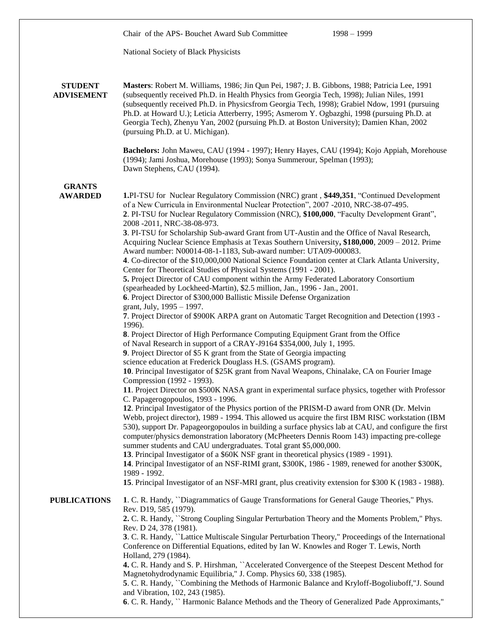|                                     | Chair of the APS-Bouchet Award Sub Committee<br>$1998 - 1999$                                                                                                                                                                                                                                                                                                                                                                                                                                                                                                                                                                                                                                                                                                                                                                                                                                                                                                                                                                                                                                                                                                                                                                                                                                                                                                                                                                                                                                                                                                                                                                                                                                                                                                                                                                                                                                                                                                                                                                                                                                                                                                                                                                                                                                                                                                                                                        |  |
|-------------------------------------|----------------------------------------------------------------------------------------------------------------------------------------------------------------------------------------------------------------------------------------------------------------------------------------------------------------------------------------------------------------------------------------------------------------------------------------------------------------------------------------------------------------------------------------------------------------------------------------------------------------------------------------------------------------------------------------------------------------------------------------------------------------------------------------------------------------------------------------------------------------------------------------------------------------------------------------------------------------------------------------------------------------------------------------------------------------------------------------------------------------------------------------------------------------------------------------------------------------------------------------------------------------------------------------------------------------------------------------------------------------------------------------------------------------------------------------------------------------------------------------------------------------------------------------------------------------------------------------------------------------------------------------------------------------------------------------------------------------------------------------------------------------------------------------------------------------------------------------------------------------------------------------------------------------------------------------------------------------------------------------------------------------------------------------------------------------------------------------------------------------------------------------------------------------------------------------------------------------------------------------------------------------------------------------------------------------------------------------------------------------------------------------------------------------------|--|
|                                     | National Society of Black Physicists                                                                                                                                                                                                                                                                                                                                                                                                                                                                                                                                                                                                                                                                                                                                                                                                                                                                                                                                                                                                                                                                                                                                                                                                                                                                                                                                                                                                                                                                                                                                                                                                                                                                                                                                                                                                                                                                                                                                                                                                                                                                                                                                                                                                                                                                                                                                                                                 |  |
|                                     |                                                                                                                                                                                                                                                                                                                                                                                                                                                                                                                                                                                                                                                                                                                                                                                                                                                                                                                                                                                                                                                                                                                                                                                                                                                                                                                                                                                                                                                                                                                                                                                                                                                                                                                                                                                                                                                                                                                                                                                                                                                                                                                                                                                                                                                                                                                                                                                                                      |  |
| <b>STUDENT</b><br><b>ADVISEMENT</b> | Masters: Robert M. Williams, 1986; Jin Qun Pei, 1987; J. B. Gibbons, 1988; Patricia Lee, 1991<br>(subsequently received Ph.D. in Health Physics from Georgia Tech, 1998); Julian Niles, 1991<br>(subsequently received Ph.D. in Physicsfrom Georgia Tech, 1998); Grabiel Ndow, 1991 (pursuing<br>Ph.D. at Howard U.); Leticia Atterberry, 1995; Asmerom Y. Ogbazghi, 1998 (pursuing Ph.D. at<br>Georgia Tech), Zhenyu Yan, 2002 (pursuing Ph.D. at Boston University); Damien Khan, 2002<br>(pursuing Ph.D. at U. Michigan).                                                                                                                                                                                                                                                                                                                                                                                                                                                                                                                                                                                                                                                                                                                                                                                                                                                                                                                                                                                                                                                                                                                                                                                                                                                                                                                                                                                                                                                                                                                                                                                                                                                                                                                                                                                                                                                                                         |  |
|                                     | Bachelors: John Maweu, CAU (1994 - 1997); Henry Hayes, CAU (1994); Kojo Appiah, Morehouse<br>(1994); Jami Joshua, Morehouse (1993); Sonya Summerour, Spelman (1993);<br>Dawn Stephens, CAU (1994).                                                                                                                                                                                                                                                                                                                                                                                                                                                                                                                                                                                                                                                                                                                                                                                                                                                                                                                                                                                                                                                                                                                                                                                                                                                                                                                                                                                                                                                                                                                                                                                                                                                                                                                                                                                                                                                                                                                                                                                                                                                                                                                                                                                                                   |  |
| <b>GRANTS</b><br><b>AWARDED</b>     | 1.PI-TSU for Nuclear Regulatory Commission (NRC) grant, \$449,351, "Continued Development<br>of a New Curricula in Environmental Nuclear Protection", 2007 -2010, NRC-38-07-495.<br>2. PI-TSU for Nuclear Regulatory Commission (NRC), \$100,000, "Faculty Development Grant",<br>2008 - 2011, NRC-38-08-973.<br>3. PI-TSU for Scholarship Sub-award Grant from UT-Austin and the Office of Naval Research,<br>Acquiring Nuclear Science Emphasis at Texas Southern University, \$180,000, 2009 - 2012. Prime<br>Award number: N00014-08-1-1183, Sub-award number: UTA09-000083.<br>4. Co-director of the \$10,000,000 National Science Foundation center at Clark Atlanta University,<br>Center for Theoretical Studies of Physical Systems (1991 - 2001).<br>5. Project Director of CAU component within the Army Federated Laboratory Consortium<br>(spearheaded by Lockheed-Martin), \$2.5 million, Jan., 1996 - Jan., 2001.<br>6. Project Director of \$300,000 Ballistic Missile Defense Organization<br>grant, July, 1995 - 1997.<br>7. Project Director of \$900K ARPA grant on Automatic Target Recognition and Detection (1993 -<br>1996).<br>8. Project Director of High Performance Computing Equipment Grant from the Office<br>of Naval Research in support of a CRAY-J9164 \$354,000, July 1, 1995.<br>9. Project Director of \$5 K grant from the State of Georgia impacting<br>science education at Frederick Douglass H.S. (GSAMS program).<br>10. Principal Investigator of \$25K grant from Naval Weapons, Chinalake, CA on Fourier Image<br>Compression (1992 - 1993).<br>11. Project Director on \$500K NASA grant in experimental surface physics, together with Professor<br>C. Papagerogopoulos, 1993 - 1996.<br>12. Principal Investigator of the Physics portion of the PRISM-D award from ONR (Dr. Melvin<br>Webb, project director), 1989 - 1994. This allowed us acquire the first IBM RISC workstation (IBM<br>530), support Dr. Papageorgopoulos in building a surface physics lab at CAU, and configure the first<br>computer/physics demonstration laboratory (McPheeters Dennis Room 143) impacting pre-college<br>summer students and CAU undergraduates. Total grant \$5,000,000.<br>13. Principal Investigator of a \$60K NSF grant in theoretical physics (1989 - 1991).<br>14. Principal Investigator of an NSF-RIMI grant, \$300K, 1986 - 1989, renewed for another \$300K, |  |
|                                     | 1989 - 1992.<br>15. Principal Investigator of an NSF-MRI grant, plus creativity extension for \$300 K (1983 - 1988).                                                                                                                                                                                                                                                                                                                                                                                                                                                                                                                                                                                                                                                                                                                                                                                                                                                                                                                                                                                                                                                                                                                                                                                                                                                                                                                                                                                                                                                                                                                                                                                                                                                                                                                                                                                                                                                                                                                                                                                                                                                                                                                                                                                                                                                                                                 |  |
| <b>PUBLICATIONS</b>                 | 1. C. R. Handy, "Diagrammatics of Gauge Transformations for General Gauge Theories," Phys.<br>Rev. D19, 585 (1979).                                                                                                                                                                                                                                                                                                                                                                                                                                                                                                                                                                                                                                                                                                                                                                                                                                                                                                                                                                                                                                                                                                                                                                                                                                                                                                                                                                                                                                                                                                                                                                                                                                                                                                                                                                                                                                                                                                                                                                                                                                                                                                                                                                                                                                                                                                  |  |
|                                     | 2. C. R. Handy, "Strong Coupling Singular Perturbation Theory and the Moments Problem," Phys.<br>Rev. D 24, 378 (1981).<br>3. C. R. Handy, "Lattice Multiscale Singular Perturbation Theory," Proceedings of the International<br>Conference on Differential Equations, edited by Ian W. Knowles and Roger T. Lewis, North<br>Holland, 279 (1984).                                                                                                                                                                                                                                                                                                                                                                                                                                                                                                                                                                                                                                                                                                                                                                                                                                                                                                                                                                                                                                                                                                                                                                                                                                                                                                                                                                                                                                                                                                                                                                                                                                                                                                                                                                                                                                                                                                                                                                                                                                                                   |  |
|                                     | 4. C. R. Handy and S. P. Hirshman, "Accelerated Convergence of the Steepest Descent Method for<br>Magnetohydrodynamic Equilibria," J. Comp. Physics 60, 338 (1985).                                                                                                                                                                                                                                                                                                                                                                                                                                                                                                                                                                                                                                                                                                                                                                                                                                                                                                                                                                                                                                                                                                                                                                                                                                                                                                                                                                                                                                                                                                                                                                                                                                                                                                                                                                                                                                                                                                                                                                                                                                                                                                                                                                                                                                                  |  |
|                                     | 5. C. R. Handy, "Combining the Methods of Harmonic Balance and Kryloff-Bogoliuboff,"J. Sound<br>and Vibration, 102, 243 (1985).<br>6. C. R. Handy, " Harmonic Balance Methods and the Theory of Generalized Pade Approximants,"                                                                                                                                                                                                                                                                                                                                                                                                                                                                                                                                                                                                                                                                                                                                                                                                                                                                                                                                                                                                                                                                                                                                                                                                                                                                                                                                                                                                                                                                                                                                                                                                                                                                                                                                                                                                                                                                                                                                                                                                                                                                                                                                                                                      |  |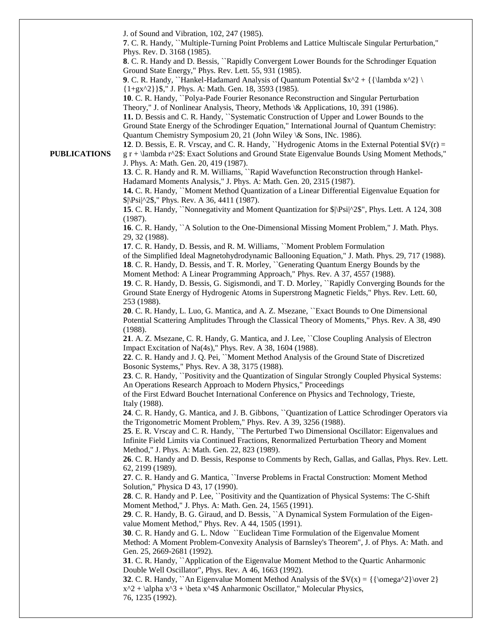J. of Sound and Vibration, 102, 247 (1985).

**7**. C. R. Handy, ``Multiple-Turning Point Problems and Lattice Multiscale Singular Perturbation," Phys. Rev. D. 3168 (1985).

**8**. C. R. Handy and D. Bessis, ``Rapidly Convergent Lower Bounds for the Schrodinger Equation Ground State Energy," Phys. Rev. Lett. 55, 931 (1985).

**9**. C. R. Handy, ``Hankel-Hadamard Analysis of Quantum Potential  $x^2 + {\{\lambda x^2\} \setminus \}$ {1+gx^2}}\$," J. Phys. A: Math. Gen. 18, 3593 (1985).

**10**. C. R. Handy, ``Polya-Pade Fourier Resonance Reconstruction and Singular Perturbation Theory," J. of Nonlinear Analysis, Theory, Methods \& Applications, 10, 391 (1986).

**11.** D. Bessis and C. R. Handy, ``Systematic Construction of Upper and Lower Bounds to the Ground State Energy of the Schrodinger Equation," International Journal of Quantum Chemistry: Quantum Chemistry Symposium 20, 21 (John Wiley \& Sons, INc. 1986).

**12**. D. Bessis, E. R. Vrscay, and C. R. Handy, "Hydrogenic Atoms in the External Potential  $\mathcal{V}(r) =$  $g$ r + \lambda r^2\$: Exact Solutions and Ground State Eigenvalue Bounds Using Moment Methods," J. Phys. A: Math. Gen. 20, 419 (1987).

**13**. C. R. Handy and R. M. Williams, ``Rapid Wavefunction Reconstruction through Hankel-Hadamard Moments Analysis," J. Phys. A: Math. Gen. 20, 2315 (1987).

**14.** C. R. Handy, ``Moment Method Quantization of a Linear Differential Eigenvalue Equation for \$|\Psi|^2\$," Phys. Rev. A 36, 4411 (1987).

**15**. C. R. Handy, ``Nonnegativity and Moment Quantization for \$|\Psi|^2\$", Phys. Lett. A 124, 308 (1987).

**16**. C. R. Handy, ``A Solution to the One-Dimensional Missing Moment Problem," J. Math. Phys. 29, 32 (1988).

**17**. C. R. Handy, D. Bessis, and R. M. Williams, ``Moment Problem Formulation

of the Simplified Ideal Magnetohydrodynamic Ballooning Equation," J. Math. Phys. 29, 717 (1988). **18**. C. R. Handy, D. Bessis, and T. R. Morley, ``Generating Quantum Energy Bounds by the

Moment Method: A Linear Programming Approach," Phys. Rev. A 37, 4557 (1988).

**19**. C. R. Handy, D. Bessis, G. Sigismondi, and T. D. Morley, ``Rapidly Converging Bounds for the Ground State Energy of Hydrogenic Atoms in Superstrong Magnetic Fields," Phys. Rev. Lett. 60, 253 (1988).

**20**. C. R. Handy, L. Luo, G. Mantica, and A. Z. Msezane, ``Exact Bounds to One Dimensional Potential Scattering Amplitudes Through the Classical Theory of Moments," Phys. Rev. A 38, 490 (1988).

**21**. A. Z. Msezane, C. R. Handy, G. Mantica, and J. Lee, ``Close Coupling Analysis of Electron Impact Excitation of Na(4s)," Phys. Rev. A 38, 1604 (1988).

**22**. C. R. Handy and J. Q. Pei, ``Moment Method Analysis of the Ground State of Discretized Bosonic Systems," Phys. Rev. A 38, 3175 (1988).

**23**. C. R. Handy, ``Positivity and the Quantization of Singular Strongly Coupled Physical Systems: An Operations Research Approach to Modern Physics," Proceedings

of the First Edward Bouchet International Conference on Physics and Technology, Trieste, Italy (1988).

**24**. C. R. Handy, G. Mantica, and J. B. Gibbons, ``Quantization of Lattice Schrodinger Operators via the Trigonometric Moment Problem," Phys. Rev. A 39, 3256 (1988).

**25**. E. R. Vrscay and C. R. Handy, ``The Perturbed Two Dimensional Oscillator: Eigenvalues and Infinite Field Limits via Continued Fractions, Renormalized Perturbation Theory and Moment Method," J. Phys. A: Math. Gen. 22, 823 (1989).

**26**. C. R. Handy and D. Bessis, Response to Comments by Rech, Gallas, and Gallas, Phys. Rev. Lett. 62, 2199 (1989).

**27**. C. R. Handy and G. Mantica, ``Inverse Problems in Fractal Construction: Moment Method Solution," Physica D 43, 17 (1990).

**28**. C. R. Handy and P. Lee, ``Positivity and the Quantization of Physical Systems: The C-Shift Moment Method," J. Phys. A: Math. Gen. 24, 1565 (1991).

**29**. C. R. Handy, B. G. Giraud, and D. Bessis, ``A Dynamical System Formulation of the Eigenvalue Moment Method," Phys. Rev. A 44, 1505 (1991).

**30**. C. R. Handy and G. L. Ndow ``Euclidean Time Formulation of the Eigenvalue Moment Method: A Moment Problem-Convexity Analysis of Barnsley's Theorem", J. of Phys. A: Math. and Gen. 25, 2669-2681 (1992).

**31**. C. R. Handy, ``Application of the Eigenvalue Moment Method to the Quartic Anharmonic Double Well Oscillator", Phys. Rev. A 46, 1663 (1992).

**32**. C. R. Handy, ``An Eigenvalue Moment Method Analysis of the  $V(x) = {\{\omega^2}\over 2}$  $x^2 + \alpha x^3 + \beta x^4$  Anharmonic Oscillator," Molecular Physics, 76, 1235 (1992).

## **PUBLICATIONS**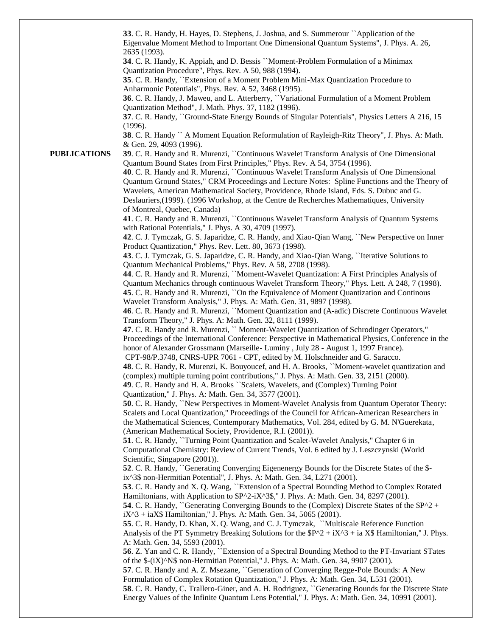**33**. C. R. Handy, H. Hayes, D. Stephens, J. Joshua, and S. Summerour ``Application of the Eigenvalue Moment Method to Important One Dimensional Quantum Systems", J. Phys. A. 26, 2635 (1993).

**34**. C. R. Handy, K. Appiah, and D. Bessis ``Moment-Problem Formulation of a Minimax Quantization Procedure", Phys. Rev. A 50, 988 (1994).

**35**. C. R. Handy, ``Extension of a Moment Problem Mini-Max Quantization Procedure to Anharmonic Potentials", Phys. Rev. A 52, 3468 (1995).

**36**. C. R. Handy, J. Maweu, and L. Atterberry, ``Variational Formulation of a Moment Problem Quantization Method", J. Math. Phys. 37, 1182 (1996).

**37**. C. R. Handy, ``Ground-State Energy Bounds of Singular Potentials", Physics Letters A 216, 15 (1996).

**38**. C. R. Handy `` A Moment Equation Reformulation of Rayleigh-Ritz Theory", J. Phys. A: Math. & Gen. 29, 4093 (1996).

**PUBLICATIONS**

**39**. C. R. Handy and R. Murenzi, ``Continuous Wavelet Transform Analysis of One Dimensional Quantum Bound States from First Principles," Phys. Rev. A 54, 3754 (1996).

**40**. C. R. Handy and R. Murenzi, ``Continuous Wavelet Transform Analysis of One Dimensional Quantum Ground States," CRM Proceedings and Lecture Notes: Spline Functions and the Theory of Wavelets, American Mathematical Society, Providence, Rhode Island, Eds. S. Dubuc and G. Deslauriers,(1999). (1996 Workshop, at the Centre de Recherches Mathematiques, University of Montreal, Quebec, Canada)

**41**. C. R. Handy and R. Murenzi, ``Continuous Wavelet Transform Analysis of Quantum Systems with Rational Potentials," J. Phys. A 30, 4709 (1997).

**42**. C. J. Tymczak, G. S. Japaridze, C. R. Handy, and Xiao-Qian Wang, ``New Perspective on Inner Product Quantization," Phys. Rev. Lett. 80, 3673 (1998).

**43**. C. J. Tymczak, G. S. Japaridze, C. R. Handy, and Xiao-Qian Wang, ``Iterative Solutions to Quantum Mechanical Problems," Phys. Rev. A 58, 2708 (1998).

**44**. C. R. Handy and R. Murenzi, ``Moment-Wavelet Quantization: A First Principles Analysis of Quantum Mechanics through continuous Wavelet Transform Theory," Phys. Lett. A 248, 7 (1998). **45**. C. R. Handy and R. Murenzi, ``On the Equivalence of Moment Quantization and Continous Wavelet Transform Analysis," J. Phys. A: Math. Gen. 31, 9897 (1998).

**46**. C. R. Handy and R. Murenzi, ``Moment Quantization and (A-adic) Discrete Continuous Wavelet Transform Theory," J. Phys. A: Math. Gen. 32, 8111 (1999).

**47**. C. R. Handy and R. Murenzi, `` Moment-Wavelet Quantization of Schrodinger Operators," Proceedings of the International Conference: Perspective in Mathematical Physics, Conference in the honor of Alexander Grossmann (Marseille- Luminy , July 28 - August 1, 1997 France). CPT-98/P.3748, CNRS-UPR 7061 - CPT, edited by M. Holschneider and G. Saracco.

**48**. C. R. Handy, R. Murenzi, K. Bouyoucef, and H. A. Brooks, ``Moment-wavelet quantization and (complex) multiple turning point contributions," J. Phys. A: Math. Gen. 33, 2151 (2000).

**49**. C. R. Handy and H. A. Brooks ``Scalets, Wavelets, and (Complex) Turning Point Quantization," J. Phys. A: Math. Gen. 34, 3577 (2001).

**50**. C. R. Handy, ``New Perspectives in Moment-Wavelet Analysis from Quantum Operator Theory: Scalets and Local Quantization,'' Proceedings of the Council for African-American Researchers in the Mathematical Sciences, Contemporary Mathematics, Vol. 284, edited by G. M. N'Guerekata, (American Mathematical Society, Providence, R.I. (2001)).

**51**. C. R. Handy, ``Turning Point Quantization and Scalet-Wavelet Analysis,'' Chapter 6 in Computational Chemistry: Review of Current Trends, Vol. 6 edited by J. Leszczynski (World Scientific, Singapore (2001)).

**52**. C. R. Handy, ``Generating Converging Eigenenergy Bounds for the Discrete States of the \$ ix^3\$ non-Hermitian Potential'', J. Phys. A: Math. Gen. 34, L271 (2001).

**53**. C. R. Handy and X. Q. Wang, ``Extension of a Spectral Bounding Method to Complex Rotated Hamiltonians, with Application to  $P^2- iX^3$ ," J. Phys. A: Math. Gen. 34, 8297 (2001).

**54**. C. R. Handy, "Generating Converging Bounds to the (Complex) Discrete States of the  $$P^2$  +  $iX^3 + iAX$  Hamiltonian," J. Phys. A: Math. Gen. 34, 5065 (2001).

**55**. C. R. Handy, D. Khan, X. Q. Wang, and C. J. Tymczak, ``Multiscale Reference Function Analysis of the PT Symmetry Breaking Solutions for the  $P^2 + iX^3 + iA X$  Hamiltonian," J. Phys. A: Math. Gen. 34, 5593 (2001).

**56**. Z. Yan and C. R. Handy, ``Extension of a Spectral Bounding Method to the PT-Invariant STates of the \$-(iX)^N\$ non-Hermitian Potential,'' J. Phys. A: Math. Gen. 34, 9907 (2001).

**57**. C. R. Handy and A. Z. Msezane, ``Generation of Converging Regge-Pole Bounds: A New Formulation of Complex Rotation Quantization,'' J. Phys. A: Math. Gen. 34, L531 (2001).

**58**. C. R. Handy, C. Trallero-Giner, and A. H. Rodriguez, ``Generating Bounds for the Discrete State Energy Values of the Infinite Quantum Lens Potential,'' J. Phys. A: Math. Gen. 34, 10991 (2001).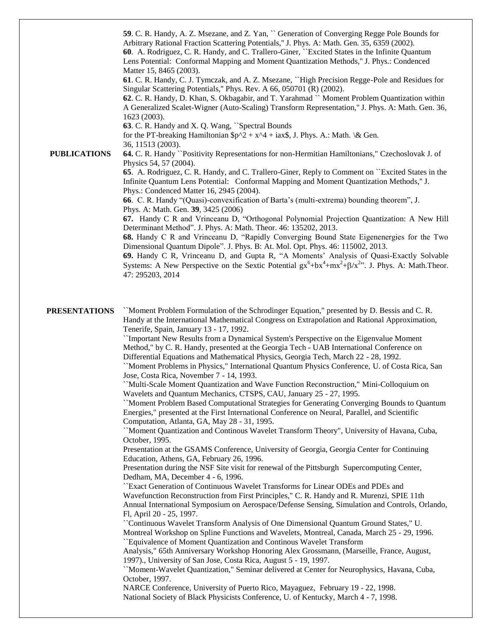**PUBLICATIONS 59**. C. R. Handy, A. Z. Msezane, and Z. Yan, `` Generation of Converging Regge Pole Bounds for Arbitrary Rational Fraction Scattering Potentials,'' J. Phys. A: Math. Gen. 35, 6359 (2002). **60**. A. Rodriguez, C. R. Handy, and C. Trallero-Giner, ``Excited States in the Infinite Quantum Lens Potential: Conformal Mapping and Moment Quantization Methods,'' J. Phys.: Condenced Matter 15, 8465 (2003). **61**. C. R. Handy, C. J. Tymczak, and A. Z. Msezane, ``High Precision Regge-Pole and Residues for Singular Scattering Potentials,'' Phys. Rev. A 66, 050701 (R) (2002). **62**. C. R. Handy, D. Khan, S. Okbagabir, and T. Yarahmad `` Moment Problem Quantization within A Generalized Scalet-Wigner (Auto-Scaling) Transform Representation,'' J. Phys. A: Math. Gen. 36, 1623 (2003). **63**. C. R. Handy and X. Q. Wang, ``Spectral Bounds for the PT-breaking Hamiltonian  $\wp^2 + x^4 + iax\$ , J. Phys. A.: Math. \& Gen. 36, 11513 (2003). **64.** C. R. Handy ``Positivity Representations for non-Hermitian Hamiltonians," Czechoslovak J. of Physics 54, 57 (2004). **65**. A. Rodriguez, C. R. Handy, and C. Trallero-Giner, Reply to Comment on ``Excited States in the Infinite Quantum Lens Potential: Conformal Mapping and Moment Quantization Methods,'' J. Phys.: Condenced Matter 16, 2945 (2004). **66**. C. R. Handy "(Quasi)-convexification of Barta's (multi-extrema) bounding theorem", J. Phys. A: Math. Gen. **39**, 3425 (2006)

**67.** Handy C R and Vrinceanu D, "Orthogonal Polynomial Projection Quantization: A New Hill Determinant Method". J. Phys. A: Math. Theor. 46: 135202, 2013.

**68.** Handy C R and Vrinceanu D, "Rapidly Converging Bound State Eigenenergies for the Two Dimensional Quantum Dipole". J. Phys. B: At. Mol. Opt. Phys. 46: 115002, 2013.

**69.** Handy C R, Vrinceanu D, and Gupta R, "A Moments' Analysis of Quasi-Exactly Solvable Systems: A New Perspective on the Sextic Potential  $gx^6 + bx^4 + mx^2 + \beta/x^{2}$ . J. Phys. A: Math.Theor. 47: 295203, 2014

**PRESENTATIONS** ``Moment Problem Formulation of the Schrodinger Equation," presented by D. Bessis and C. R. Handy at the International Mathematical Congress on Extrapolation and Rational Approximation, Tenerife, Spain, January 13 - 17, 1992.

> ``Important New Results from a Dynamical System's Perspective on the Eigenvalue Moment Method," by C. R. Handy, presented at the Georgia Tech - UAB International Conference on Differential Equations and Mathematical Physics, Georgia Tech, March 22 - 28, 1992.

``Moment Problems in Physics," International Quantum Physics Conference, U. of Costa Rica, San Jose, Costa Rica, November 7 - 14, 1993.

``Multi-Scale Moment Quantization and Wave Function Reconstruction," Mini-Colloquium on Wavelets and Quantum Mechanics, CTSPS, CAU, January 25 - 27, 1995.

``Moment Problem Based Computational Strategies for Generating Converging Bounds to Quantum Energies," presented at the First International Conference on Neural, Parallel, and Scientific Computation, Atlanta, GA, May 28 - 31, 1995.

``Moment Quantization and Continous Wavelet Transform Theory", University of Havana, Cuba, October, 1995.

Presentation at the GSAMS Conference, University of Georgia, Georgia Center for Continuing Education, Athens, GA, February 26, 1996.

Presentation during the NSF Site visit for renewal of the Pittsburgh Supercomputing Center, Dedham, MA, December 4 - 6, 1996.

``Exact Generation of Continuous Wavelet Transforms for Linear ODEs and PDEs and Wavefunction Reconstruction from First Principles," C. R. Handy and R. Murenzi, SPIE 11th Annual International Symposium on Aerospace/Defense Sensing, Simulation and Controls, Orlando, Fl, April 20 - 25, 1997.

``Continuous Wavelet Transform Analysis of One Dimensional Quantum Ground States," U. Montreal Workshop on Spline Functions and Wavelets, Montreal, Canada, March 25 - 29, 1996. ``Equivalence of Moment Quantization and Continous Wavelet Transform

Analysis," 65th Anniversary Workshop Honoring Alex Grossmann, (Marseille, France, August, 1997)., University of San Jose, Costa Rica, August 5 - 19, 1997.

``Moment-Wavelet Quantization," Seminar delivered at Center for Neurophysics, Havana, Cuba, October, 1997.

NARCE Conference, University of Puerto Rico, Mayaguez, February 19 - 22, 1998. National Society of Black Physicists Conference, U. of Kentucky, March 4 - 7, 1998.